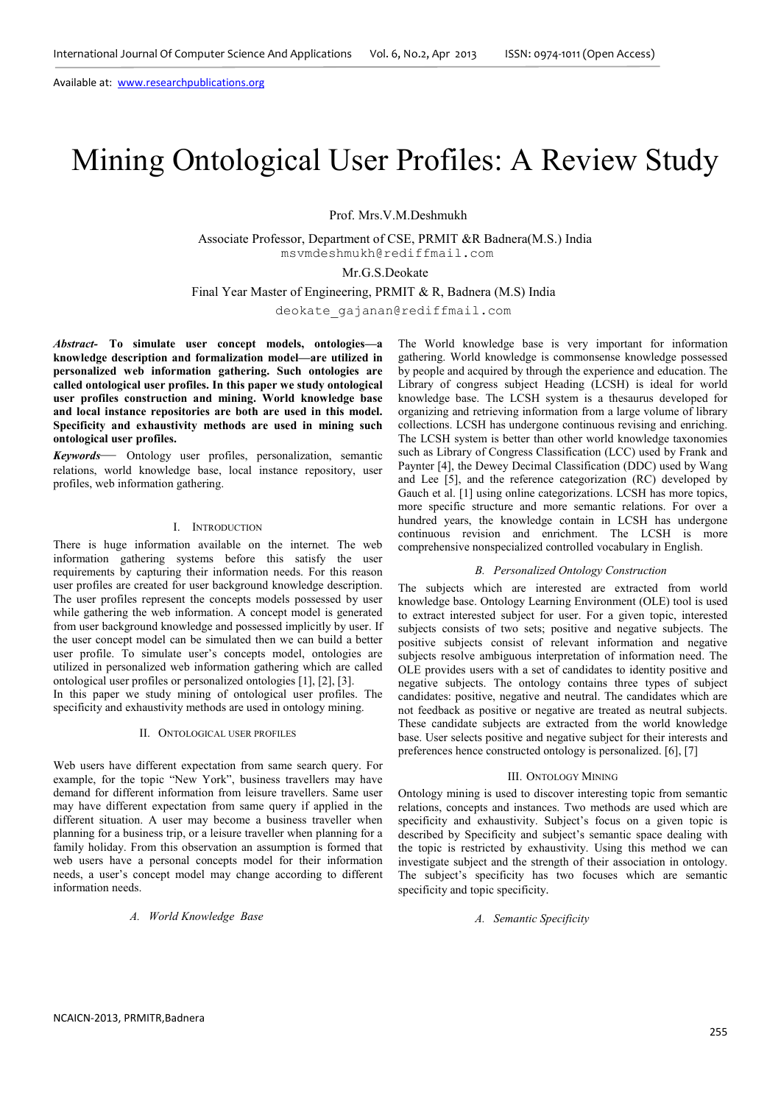# Mining Ontological User Profiles: A Review Study

Prof. Mrs.V.M.Deshmukh

 Associate Professor, Department of CSE, PRMIT &R Badnera(M.S.) India msvmdeshmukh@rediffmail.com

Mr.G.S.Deokate

Final Year Master of Engineering, PRMIT & R, Badnera (M.S) India

deokate\_gajanan@rediffmail.com

*Abstract-* **To simulate user concept models, ontologies—a knowledge description and formalization model—are utilized in personalized web information gathering. Such ontologies are called ontological user profiles. In this paper we study ontological user profiles construction and mining. World knowledge base and local instance repositories are both are used in this model. Specificity and exhaustivity methods are used in mining such ontological user profiles.** 

*Keywords*— Ontology user profiles, personalization, semantic relations, world knowledge base, local instance repository, user profiles, web information gathering.

# I. INTRODUCTION

There is huge information available on the internet. The web information gathering systems before this satisfy the user requirements by capturing their information needs. For this reason user profiles are created for user background knowledge description. The user profiles represent the concepts models possessed by user while gathering the web information. A concept model is generated from user background knowledge and possessed implicitly by user. If the user concept model can be simulated then we can build a better user profile. To simulate user's concepts model, ontologies are utilized in personalized web information gathering which are called ontological user profiles or personalized ontologies [1], [2], [3]. In this paper we study mining of ontological user profiles. The specificity and exhaustivity methods are used in ontology mining.

#### II. ONTOLOGICAL USER PROFILES

Web users have different expectation from same search query. For example, for the topic "New York", business travellers may have demand for different information from leisure travellers. Same user may have different expectation from same query if applied in the different situation. A user may become a business traveller when planning for a business trip, or a leisure traveller when planning for a family holiday. From this observation an assumption is formed that web users have a personal concepts model for their information needs, a user's concept model may change according to different information needs.

*A. World Knowledge Base* 

The World knowledge base is very important for information gathering. World knowledge is commonsense knowledge possessed by people and acquired by through the experience and education. The Library of congress subject Heading (LCSH) is ideal for world knowledge base. The LCSH system is a thesaurus developed for organizing and retrieving information from a large volume of library collections. LCSH has undergone continuous revising and enriching. The LCSH system is better than other world knowledge taxonomies such as Library of Congress Classification (LCC) used by Frank and Paynter [4], the Dewey Decimal Classification (DDC) used by Wang and Lee [5], and the reference categorization (RC) developed by Gauch et al. [1] using online categorizations. LCSH has more topics, more specific structure and more semantic relations. For over a hundred years, the knowledge contain in LCSH has undergone continuous revision and enrichment. The LCSH is more comprehensive nonspecialized controlled vocabulary in English.

# *B. Personalized Ontology Construction*

The subjects which are interested are extracted from world knowledge base. Ontology Learning Environment (OLE) tool is used to extract interested subject for user. For a given topic, interested subjects consists of two sets; positive and negative subjects. The positive subjects consist of relevant information and negative subjects resolve ambiguous interpretation of information need. The OLE provides users with a set of candidates to identity positive and negative subjects. The ontology contains three types of subject candidates: positive, negative and neutral. The candidates which are not feedback as positive or negative are treated as neutral subjects. These candidate subjects are extracted from the world knowledge base. User selects positive and negative subject for their interests and preferences hence constructed ontology is personalized. [6], [7]

#### III. ONTOLOGY MINING

Ontology mining is used to discover interesting topic from semantic relations, concepts and instances. Two methods are used which are specificity and exhaustivity. Subject's focus on a given topic is described by Specificity and subject's semantic space dealing with the topic is restricted by exhaustivity. Using this method we can investigate subject and the strength of their association in ontology. The subject's specificity has two focuses which are semantic specificity and topic specificity.

*A. Semantic Specificity*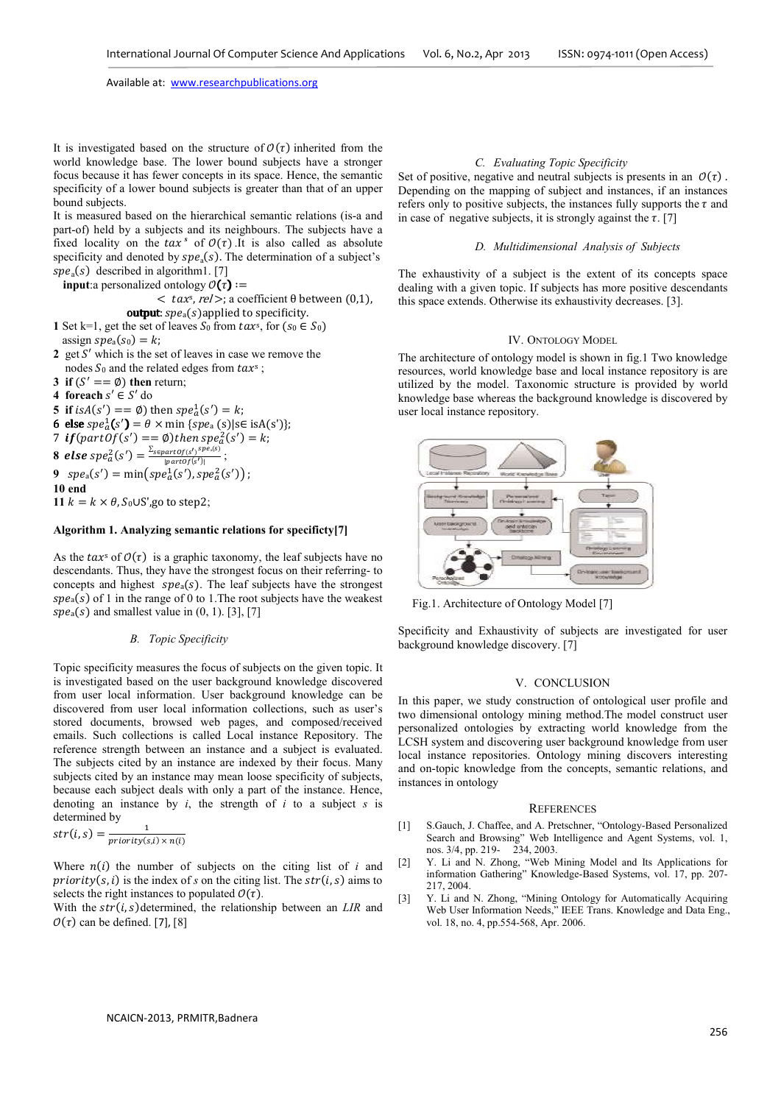Available at: www.researchpublications.org

It is investigated based on the structure of  $\mathcal{O}(\tau)$  inherited from the world knowledge base. The lower bound subjects have a stronger focus because it has fewer concepts in its space. Hence, the semantic specificity of a lower bound subjects is greater than that of an upper bound subjects.

It is measured based on the hierarchical semantic relations (is-a and part-of) held by a subjects and its neighbours. The subjects have a fixed locality on the  $\text{tax}^s$  of  $\mathcal{O}(\tau)$ . It is also called as absolute specificity and denoted by  $spe_a(s)$ . The determination of a subject's  $spe_a(s)$  described in algorithm1. [7]

**input**:a personalized ontology  $O(\tau)$  :=

 $\langle \text{taxs}, \text{rel} \rangle$ ; a coefficient  $\theta$  between (0,1), **output**:  $spe_a(s)$  applied to specificity.

- **1** Set k=1, get the set of leaves  $S_0$  from  $tax^s$ , for  $(s_0 \in S_0)$ assign  $spe_a(s_0) = k$ ;
- **2** get  $S'$  which is the set of leaves in case we remove the nodes  $S_0$  and the related edges from  $tax^s$ ;
- **3** if  $(S' == \emptyset)$  then return;
- **4** foreach  $s' \in S'$  do
- **5** if  $isA(s') == \emptyset$  then  $spe_a^1(s') = k$ ;
- **6** else  $spe_a^1(s') = \theta \times \min \{spe_a(s) | s \in isA(s')\};$
- 7 **if**( $partOf(s') == \emptyset$ )then  $spe_a^2(s') = k$ ;
- **8** else spe $\hat{a}(s') = \frac{\sum_{s \in partOf(s')} spe_s(s)}{|partOf(s')|};$
- **9**  $spe_a(s') = \min(spe_a^1(s'), spe_a^2(s'))$ ;
- **10 end**

11  $k = k \times \theta$ , S<sub>0</sub>US', go to step2;

# **Algorithm 1. Analyzing semantic relations for specificty[7]**

As the tax<sup>s</sup> of  $O(\tau)$  is a graphic taxonomy, the leaf subjects have no descendants. Thus, they have the strongest focus on their referring- to concepts and highest  $spe_a(s)$ . The leaf subjects have the strongest  $spe<sub>a</sub>(s)$  of 1 in the range of 0 to 1. The root subjects have the weakest  $spe_a(s)$  and smallest value in  $(0, 1)$ . [3], [7]

#### *B. Topic Specificity*

Topic specificity measures the focus of subjects on the given topic. It is investigated based on the user background knowledge discovered from user local information. User background knowledge can be discovered from user local information collections, such as user's stored documents, browsed web pages, and composed/received emails. Such collections is called Local instance Repository. The reference strength between an instance and a subject is evaluated. The subjects cited by an instance are indexed by their focus. Many subjects cited by an instance may mean loose specificity of subjects, because each subject deals with only a part of the instance. Hence, denoting an instance by *i*, the strength of *i* to a subject *s* is determined by

$$
str(i, s) = \frac{1}{priority(s, i) \times n(i)}
$$

Where  $n(i)$  the number of subjects on the citing list of *i* and priority(s, i) is the index of *s* on the citing list. The  $str(i, s)$  aims to selects the right instances to populated  $O(\tau)$ .

With the  $str(i, s)$  determined, the relationship between an *LIR* and  $\mathcal{O}(\tau)$  can be defined. [7], [8]

# *C. Evaluating Topic Specificity*

Set of positive, negative and neutral subjects is presents in an  $O(\tau)$ . Depending on the mapping of subject and instances, if an instances refers only to positive subjects, the instances fully supports the  $\tau$  and in case of negative subjects, it is strongly against the  $\tau$ . [7]

# *D. Multidimensional Analysis of Subjects*

The exhaustivity of a subject is the extent of its concepts space dealing with a given topic. If subjects has more positive descendants this space extends. Otherwise its exhaustivity decreases. [3].

# IV. ONTOLOGY MODEL

The architecture of ontology model is shown in fig.1 Two knowledge resources, world knowledge base and local instance repository is are utilized by the model. Taxonomic structure is provided by world knowledge base whereas the background knowledge is discovered by user local instance repository.



Fig.1. Architecture of Ontology Model [7]

Specificity and Exhaustivity of subjects are investigated for user background knowledge discovery. [7]

# V. CONCLUSION

In this paper, we study construction of ontological user profile and two dimensional ontology mining method.The model construct user personalized ontologies by extracting world knowledge from the LCSH system and discovering user background knowledge from user local instance repositories. Ontology mining discovers interesting and on-topic knowledge from the concepts, semantic relations, and instances in ontology

## **REFERENCES**

- [1] S.Gauch, J. Chaffee, and A. Pretschner, "Ontology-Based Personalized Search and Browsing" Web Intelligence and Agent Systems, vol. 1, nos. 3/4, pp. 219- 234, 2003.
- [2] Y. Li and N. Zhong, "Web Mining Model and Its Applications for information Gathering" Knowledge-Based Systems, vol. 17, pp. 207- 217, 2004.
- [3] Y. Li and N. Zhong, "Mining Ontology for Automatically Acquiring Web User Information Needs," IEEE Trans. Knowledge and Data Eng., vol. 18, no. 4, pp.554-568, Apr. 2006.